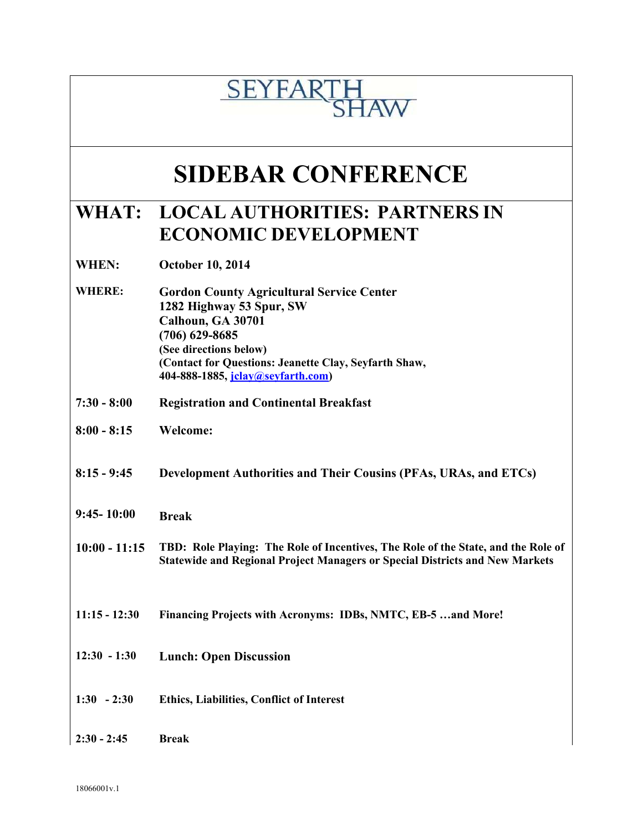## **SEYFAR IAW**

## **SIDEBAR CONFERENCE**

### **WHAT: LOCAL AUTHORITIES: PARTNERS IN ECONOMIC DEVELOPMENT**

**WHEN: October 10, 2014**

- **WHERE: Gordon County Agricultural Service Center 1282 Highway 53 Spur, SW Calhoun, GA 30701 (706) 629-8685 (See directions below) (Contact for Questions: Jeanette Clay, Seyfarth Shaw, 404-888-1885, [jclay@seyfarth.com\)](mailto:jclay@seyfarth.com)**
- **7:30 - 8:00 Registration and Continental Breakfast**
- **8:00 - 8:15 Welcome:**
- **8:15 - 9:45 Development Authorities and Their Cousins (PFAs, URAs, and ETCs)**
- **9:45- 10:00 Break**
- **10:00 - 11:15 TBD: Role Playing: The Role of Incentives, The Role of the State, and the Role of Statewide and Regional Project Managers or Special Districts and New Markets**
- **11:15 - 12:30 Financing Projects with Acronyms: IDBs, NMTC, EB-5 …and More!**
- **12:30 - 1:30 Lunch: Open Discussion**
- **1:30 - 2:30 Ethics, Liabilities, Conflict of Interest**
- **2:30 - 2:45 Break**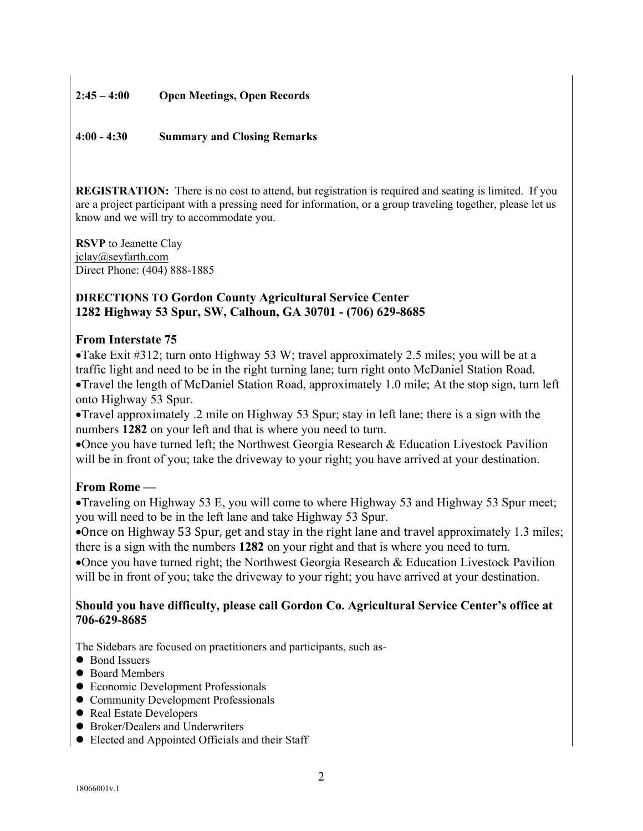#### **2:45 – 4:00 Open Meetings, Open Records**

#### **4:00 - 4:30 Summary and Closing Remarks**

**REGISTRATION:** There is no cost to attend, but registration is required and seating is limited. If you are a project participant with a pressing need for information, or a group traveling together, please let us know and we will try to accommodate you.

**RSVP** to Jeanette Clay jclay@seyfarth.com Direct Phone: (404) 888-1885

#### **DIRECTIONS TO Gordon County Agricultural Service Center 1282 Highway 53 Spur, SW, Calhoun, GA 30701 - (706) 629-8685**

#### **From Interstate 75**

Take Exit #312; turn onto Highway 53 W; travel approximately 2.5 miles; you will be at a traffic light and need to be in the right turning lane; turn right onto McDaniel Station Road. Travel the length of McDaniel Station Road, approximately 1.0 mile; At the stop sign, turn left onto Highway 53 Spur.

Travel approximately .2 mile on Highway 53 Spur; stay in left lane; there is a sign with the numbers **1282** on your left and that is where you need to turn.

Once you have turned left; the Northwest Georgia Research & Education Livestock Pavilion will be in front of you; take the driveway to your right; you have arrived at your destination.

#### **From Rome —**

Traveling on Highway 53 E, you will come to where Highway 53 and Highway 53 Spur meet; you will need to be in the left lane and take Highway 53 Spur.

Once on Highway 53 Spur, get and stay in the right lane and travel approximately 1.3 miles; there is a sign with the numbers **1282** on your right and that is where you need to turn.

Once you have turned right; the Northwest Georgia Research & Education Livestock Pavilion will be in front of you; take the driveway to your right; you have arrived at your destination.

#### **Should you have difficulty, please call Gordon Co. Agricultural Service Center's office at 706-629-8685**

The Sidebars are focused on practitioners and participants, such as-

- Bond Issuers
- Board Members
- Economic Development Professionals
- Community Development Professionals
- Real Estate Developers
- Broker/Dealers and Underwriters
- Elected and Appointed Officials and their Staff